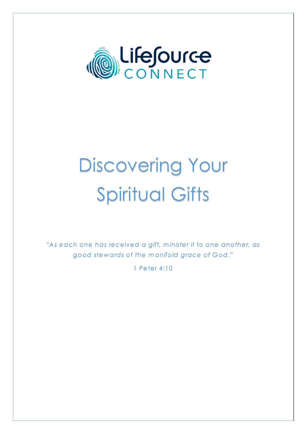

# Discovering Your Spiritual Gifts

"As each one has received a gift, minister it to one another, as good stewards of the manifold grace of God."

1 Peter 4:10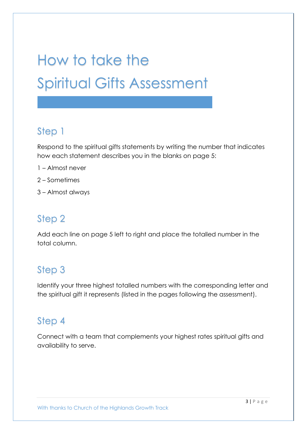# How to take the Spiritual Gifts Assessment

#### Step 1

Respond to the spiritual gifts statements by writing the number that indicates how each statement describes you in the blanks on page 5:

- 1 Almost never
- 2 Sometimes
- 3 Almost always

#### Step 2

Add each line on page 5 left to right and place the totalled number in the total column.

#### Step 3

Identify your three highest totalled numbers with the corresponding letter and the spiritual gift it represents (listed in the pages following the assessment).

#### Step 4

Connect with a team that complements your highest rates spiritual gifts and availability to serve.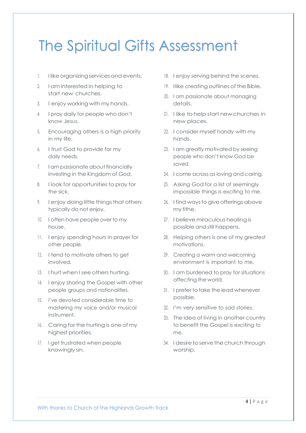### The Spiritual Gifts Assessment

- 1. I like organizing services and events.
- 2. Iam interested in helping to start new churches.
- 3. I enjoy working with my hands.
- 4. I pray daily for people who don't know Jesus.
- 5. Encouraging others is a high priority in my life.
- 6. I trust God to provide for my daily needs.
- 7. I am passionate about financially investing in the Kingdom of God.
- 8. I look for opportunities to pray for the sick.
- 9. I enjoy doing little things that others typically do not enjoy.
- 10. I often have people over to my house.
- 11. I enjoy spending hours in prayer for other people.
- 12. I tend to motivate others to get involved.
- 13. I hurt when I see others hurting.
- 14. I enjoy sharing the Gospel with other people groups and nationalities.
- 15. I've devoted considerable time to mastering my voice and/or musical instrument.
- 16. Caring for the hurting is one of my highest priorities.
- 17. I get frustrated when people knowingly sin.
- 18. I enjoy serving behind the scenes.
- 19. Ilike creating outlines of the Bible.
- 20. I am passionate about managing details.
- 21. I like tohelpstart new churches in new places.
- 22. I consider myself handy with my hands.
- 23. I am greatly motivated by seeing people who don't know God be saved.
- 24. I come across as loving and caring.
- 25. Asking God for a list of seemingly impossible things is exciting to me.
- 26. I find ways to give offerings above my tithe.
- 27. I believe miraculous healing is possible and still happens.
- 28. Helping others is one of my greatest motivations.
- 29. Creating a warm and welcoming environment is important to me.
- 30. I am burdened to pray for situations affecting the world.
- 31. I prefer to take the lead whenever possible.
- 32. I'm very sensitive to sad stories.
- 33. The idea of living in another country to benefit the Gospel is exciting to me.
- 34. I desire to serve the church through worship.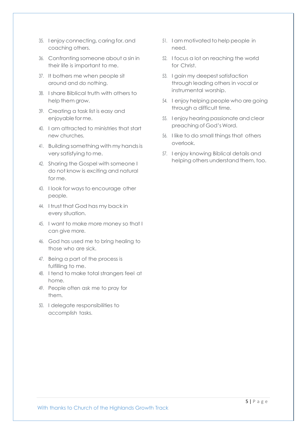- 35. I enjoy connecting, caring for, and coaching others.
- 36. Confronting someone about a sin in their life is important to me.
- 37. It bothers me when people sit around and do nothing.
- 38. I share Biblical truth with others to help them grow.
- 39. Creating a task list is easy and enjoyable forme.
- 40. I am attracted to ministries that start new churches.
- 41. Building something with my handsis very satisfying to me.
- 42. Sharing the Gospel with someone I do not know is exciting and natural for me.
- 43. I look for ways to encourage other people.
- 44. I trust that God has my back in every situation.
- 45. I want to make more money so that I can give more.
- 46. God has used me to bring healing to those who are sick.
- 47. Being a part of the process is fulfilling to me.
- 48. I tend to make total strangers feel at home.
- 49. People often ask me to pray for them.
- 50. I delegate responsibilities to accomplish tasks.
- 51. I am motivated tohelp people in need.
- 52. I focus a lot on reaching the world for Christ.
- 53. I gain my deepest satisfaction through leading others in vocal or instrumental worship.
- 54. I enjoy helping people who are going through a difficult time.
- 55. I enjoy hearing passionate and clear preaching of God's Word.
- 56. I like to do small things that others overlook.
- 57. I enjoy knowing Biblical details and helping others understand them, too.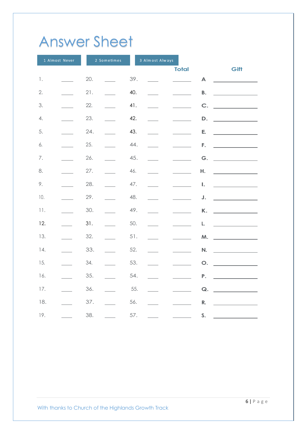## Answer Sheet

|                | 1 Almost Never |     | 2 Sometimes    |     | 3 Almost Always |              |      |
|----------------|----------------|-----|----------------|-----|-----------------|--------------|------|
|                |                |     |                |     |                 | <b>Total</b> | Gift |
| $\mathbbm{1}.$ |                | 20. |                | 39. |                 | A            |      |
| 2.             |                | 21. |                | 40. |                 | <b>B.</b>    |      |
| 3.             |                | 22. | and and        | 41. |                 | C.           |      |
| 4.             |                | 23. | $\mathbb{R}^2$ | 42. |                 | D.           |      |
| 5.             |                | 24. |                | 43. |                 | E.           |      |
| 6.             |                | 25. |                | 44. |                 | F.           |      |
| $7. \,$        |                | 26. | $\sim$         | 45. |                 | G.           |      |
| 8.             |                | 27. | $\frac{1}{2}$  | 46. |                 | Н.           |      |
| 9.             |                | 28. |                | 47. |                 | I.           |      |
| 10.            |                | 29. |                | 48. |                 | J.           |      |
| 11.            |                | 30. |                | 49. |                 | K.           |      |
| 12.            |                | 31. |                | 50. |                 | L.           |      |
| 13.            |                | 32. | $\sim$         | 51. |                 | M.           |      |
| 14.            |                | 33. | $\sim$         | 52. |                 | N.           |      |
| 15.            |                | 34. |                | 53. |                 | O.           |      |
|                |                |     |                |     |                 |              |      |
| 16.            |                | 35. |                | 54. |                 | P.           |      |
| 17.            |                | 36. |                | 55. |                 | Q.           |      |
| 18.            |                | 37. |                | 56. |                 | R.           |      |
| 19.            |                | 38. |                | 57. |                 | S.           |      |